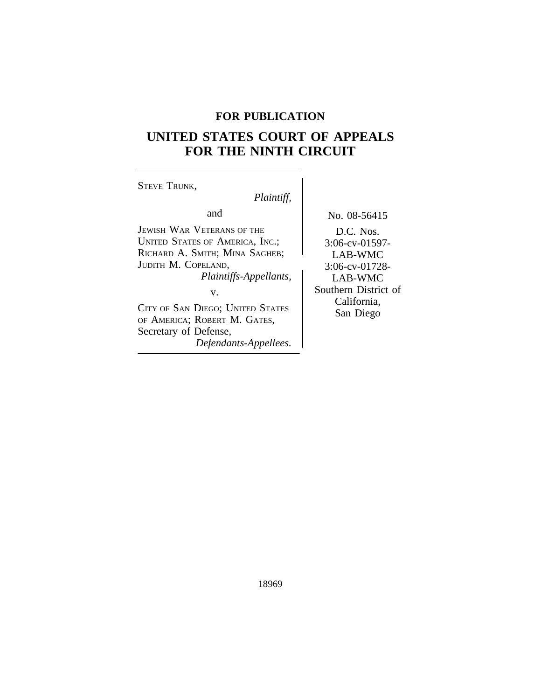## **FOR PUBLICATION**

# **UNITED STATES COURT OF APPEALS FOR THE NINTH CIRCUIT**

| <b>STEVE TRUNK,</b><br>Plaintiff,                                                                                                                                                                                                                                                   |                                                                                                                                         |
|-------------------------------------------------------------------------------------------------------------------------------------------------------------------------------------------------------------------------------------------------------------------------------------|-----------------------------------------------------------------------------------------------------------------------------------------|
| and<br>JEWISH WAR VETERANS OF THE<br>UNITED STATES OF AMERICA, INC.;<br>RICHARD A. SMITH; MINA SAGHEB;<br>JUDITH M. COPELAND,<br>Plaintiffs-Appellants,<br>v.<br>CITY OF SAN DIEGO; UNITED STATES<br>OF AMERICA; ROBERT M. GATES,<br>Secretary of Defense,<br>Defendants-Appellees. | No. 08-56415<br>D.C. Nos.<br>3:06-cv-01597-<br>LAB-WMC<br>$3:06$ -cv-01728-<br>LAB-WMC<br>Southern District<br>California,<br>San Diego |

*Plaintiffs-Appellants,* LAB-WMC vistrict of<br>rnia,

18969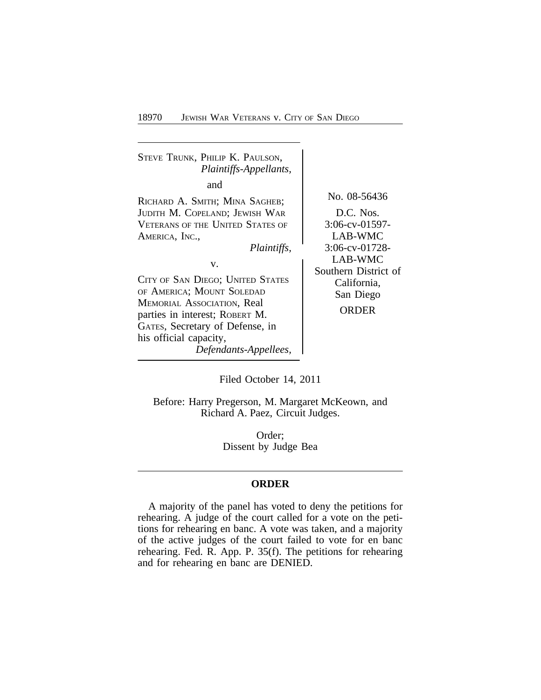<sup>S</sup>TEVE TRUNK, PHILIP K. PAULSON, *Plaintiffs-Appellants,* and RICHARD A. SMITH; MINA SAGHEB; No. 08-56436 JUDITH M. COPELAND; JEWISH WAR D.C. Nos. VETERANS OF THE UNITED STATES OF 3:06-cv-01597-AMERICA, INC., LAB-WMC *Plaintiffs,* 3:06-cv-01728-<br>v. LAB-WMC Southern District of CITY OF SAN DIEGO; UNITED STATES California, OF AMERICA; MOUNT SOLEDAD San Diego MEMORIAL ASSOCIATION, Real ORDER parties in interest; ROBERT M. GATES, Secretary of Defense, in his official capacity, *Defendants-Appellees,*

Filed October 14, 2011

Before: Harry Pregerson, M. Margaret McKeown, and Richard A. Paez, Circuit Judges.

> Order; Dissent by Judge Bea

### **ORDER**

A majority of the panel has voted to deny the petitions for rehearing. A judge of the court called for a vote on the petitions for rehearing en banc. A vote was taken, and a majority of the active judges of the court failed to vote for en banc rehearing. Fed. R. App. P. 35(f). The petitions for rehearing and for rehearing en banc are DENIED.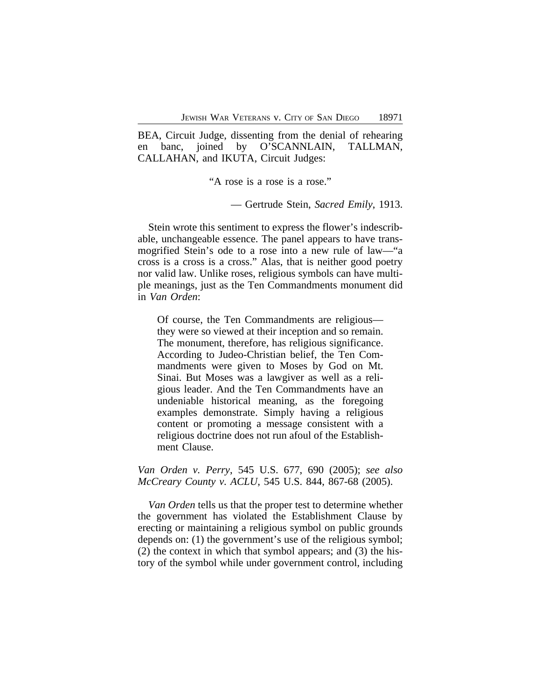BEA, Circuit Judge, dissenting from the denial of rehearing en banc, joined by O'SCANNLAIN, TALLMAN, CALLAHAN, and IKUTA, Circuit Judges:

"A rose is a rose is a rose."

— Gertrude Stein, *Sacred Emily*, 1913.

Stein wrote this sentiment to express the flower's indescribable, unchangeable essence. The panel appears to have transmogrified Stein's ode to a rose into a new rule of law—"a cross is a cross is a cross." Alas, that is neither good poetry nor valid law. Unlike roses, religious symbols can have multiple meanings, just as the Ten Commandments monument did in *Van Orden*:

Of course, the Ten Commandments are religious they were so viewed at their inception and so remain. The monument, therefore, has religious significance. According to Judeo-Christian belief, the Ten Commandments were given to Moses by God on Mt. Sinai. But Moses was a lawgiver as well as a religious leader. And the Ten Commandments have an undeniable historical meaning, as the foregoing examples demonstrate. Simply having a religious content or promoting a message consistent with a religious doctrine does not run afoul of the Establishment Clause.

*Van Orden v. Perry*, 545 U.S. 677, 690 (2005); *see also McCreary County v. ACLU*, 545 U.S. 844, 867-68 (2005).

*Van Orden* tells us that the proper test to determine whether the government has violated the Establishment Clause by erecting or maintaining a religious symbol on public grounds depends on: (1) the government's use of the religious symbol; (2) the context in which that symbol appears; and (3) the history of the symbol while under government control, including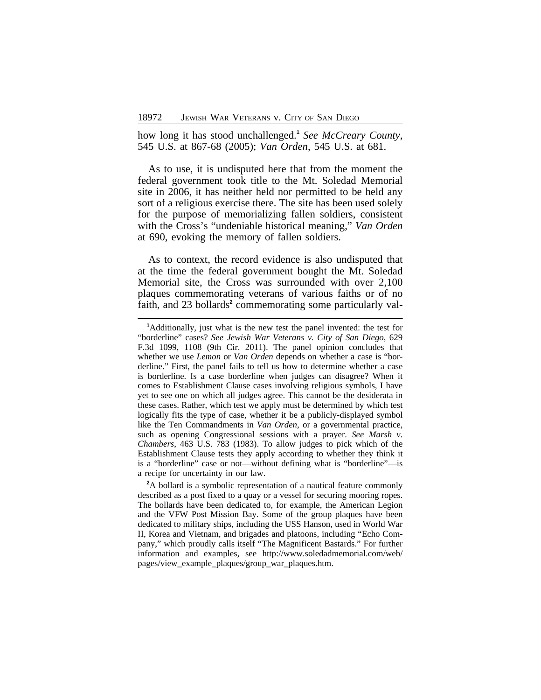how long it has stood unchallenged.**<sup>1</sup>** *See McCreary County*, 545 U.S. at 867-68 (2005); *Van Orden*, 545 U.S. at 681.

As to use, it is undisputed here that from the moment the federal government took title to the Mt. Soledad Memorial site in 2006, it has neither held nor permitted to be held any sort of a religious exercise there. The site has been used solely for the purpose of memorializing fallen soldiers, consistent with the Cross's "undeniable historical meaning," *Van Orden* at 690, evoking the memory of fallen soldiers.

As to context, the record evidence is also undisputed that at the time the federal government bought the Mt. Soledad Memorial site, the Cross was surrounded with over 2,100 plaques commemorating veterans of various faiths or of no faith, and 23 bollards<sup>2</sup> commemorating some particularly val-

**<sup>2</sup>**A bollard is a symbolic representation of a nautical feature commonly described as a post fixed to a quay or a vessel for securing mooring ropes. The bollards have been dedicated to, for example, the American Legion and the VFW Post Mission Bay. Some of the group plaques have been dedicated to military ships, including the USS Hanson, used in World War II, Korea and Vietnam, and brigades and platoons, including "Echo Company," which proudly calls itself "The Magnificent Bastards." For further information and examples, see http://www.soledadmemorial.com/web/ pages/view\_example\_plaques/group\_war\_plaques.htm.

**<sup>1</sup>**Additionally, just what is the new test the panel invented: the test for "borderline" cases? *See Jewish War Veterans v. City of San Diego*, 629 F.3d 1099, 1108 (9th Cir. 2011). The panel opinion concludes that whether we use *Lemon* or *Van Orden* depends on whether a case is "borderline." First, the panel fails to tell us how to determine whether a case is borderline. Is a case borderline when judges can disagree? When it comes to Establishment Clause cases involving religious symbols, I have yet to see one on which all judges agree. This cannot be the desiderata in these cases. Rather, which test we apply must be determined by which test logically fits the type of case, whether it be a publicly-displayed symbol like the Ten Commandments in *Van Orden*, or a governmental practice, such as opening Congressional sessions with a prayer. *See Marsh v. Chambers*, 463 U.S. 783 (1983). To allow judges to pick which of the Establishment Clause tests they apply according to whether they think it is a "borderline" case or not—without defining what is "borderline"—is a recipe for uncertainty in our law.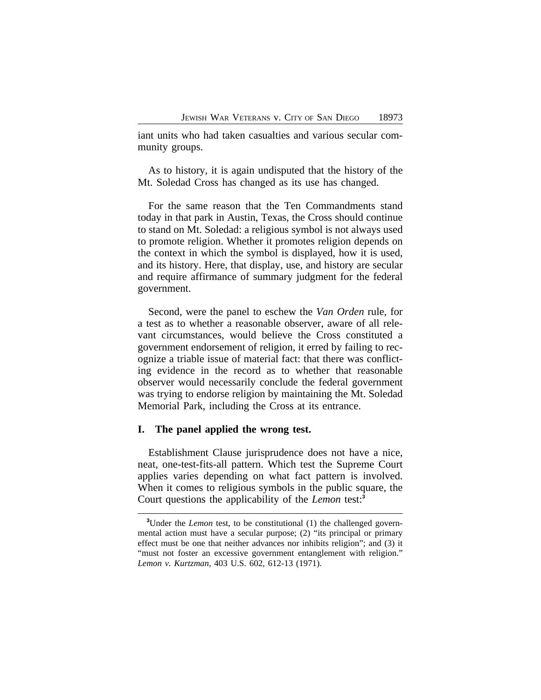iant units who had taken casualties and various secular community groups.

As to history, it is again undisputed that the history of the Mt. Soledad Cross has changed as its use has changed.

For the same reason that the Ten Commandments stand today in that park in Austin, Texas, the Cross should continue to stand on Mt. Soledad: a religious symbol is not always used to promote religion. Whether it promotes religion depends on the context in which the symbol is displayed, how it is used, and its history. Here, that display, use, and history are secular and require affirmance of summary judgment for the federal government.

Second, were the panel to eschew the *Van Orden* rule, for a test as to whether a reasonable observer, aware of all relevant circumstances, would believe the Cross constituted a government endorsement of religion, it erred by failing to recognize a triable issue of material fact: that there was conflicting evidence in the record as to whether that reasonable observer would necessarily conclude the federal government was trying to endorse religion by maintaining the Mt. Soledad Memorial Park, including the Cross at its entrance.

### **I. The panel applied the wrong test.**

Establishment Clause jurisprudence does not have a nice, neat, one-test-fits-all pattern. Which test the Supreme Court applies varies depending on what fact pattern is involved. When it comes to religious symbols in the public square, the Court questions the applicability of the *Lemon* test:**<sup>3</sup>**

**<sup>3</sup>**Under the *Lemon* test, to be constitutional (1) the challenged governmental action must have a secular purpose; (2) "its principal or primary effect must be one that neither advances nor inhibits religion"; and (3) it "must not foster an excessive government entanglement with religion." *Lemon v. Kurtzman*, 403 U.S. 602, 612-13 (1971).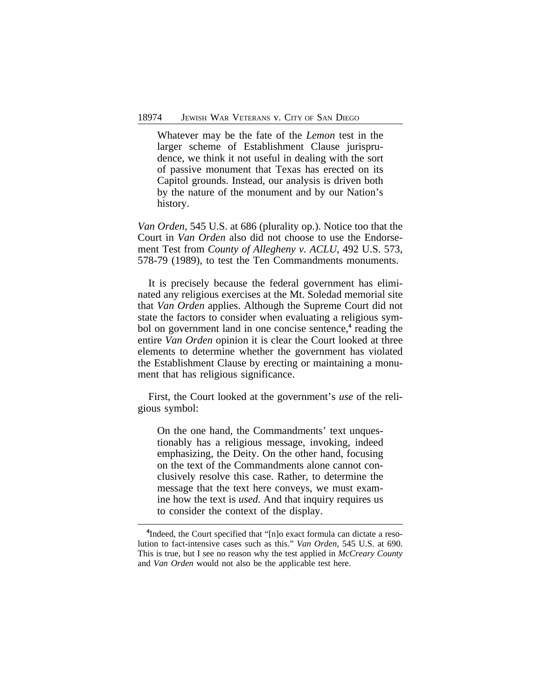Whatever may be the fate of the *Lemon* test in the larger scheme of Establishment Clause jurisprudence, we think it not useful in dealing with the sort of passive monument that Texas has erected on its Capitol grounds. Instead, our analysis is driven both by the nature of the monument and by our Nation's history.

*Van Orden*, 545 U.S. at 686 (plurality op.). Notice too that the Court in *Van Orden* also did not choose to use the Endorsement Test from *County of Allegheny v. ACLU,* 492 U.S. 573, 578-79 (1989), to test the Ten Commandments monuments.

It is precisely because the federal government has eliminated any religious exercises at the Mt. Soledad memorial site that *Van Orden* applies. Although the Supreme Court did not state the factors to consider when evaluating a religious symbol on government land in one concise sentence,<sup>4</sup> reading the entire *Van Orden* opinion it is clear the Court looked at three elements to determine whether the government has violated the Establishment Clause by erecting or maintaining a monument that has religious significance.

First, the Court looked at the government's *use* of the religious symbol:

On the one hand, the Commandments' text unquestionably has a religious message, invoking, indeed emphasizing, the Deity. On the other hand, focusing on the text of the Commandments alone cannot conclusively resolve this case. Rather, to determine the message that the text here conveys, we must examine how the text is *used.* And that inquiry requires us to consider the context of the display.

<sup>&</sup>lt;sup>4</sup>Indeed, the Court specified that "[n]o exact formula can dictate a resolution to fact-intensive cases such as this." *Van Orden*, 545 U.S. at 690. This is true, but I see no reason why the test applied in *McCreary County* and *Van Orden* would not also be the applicable test here.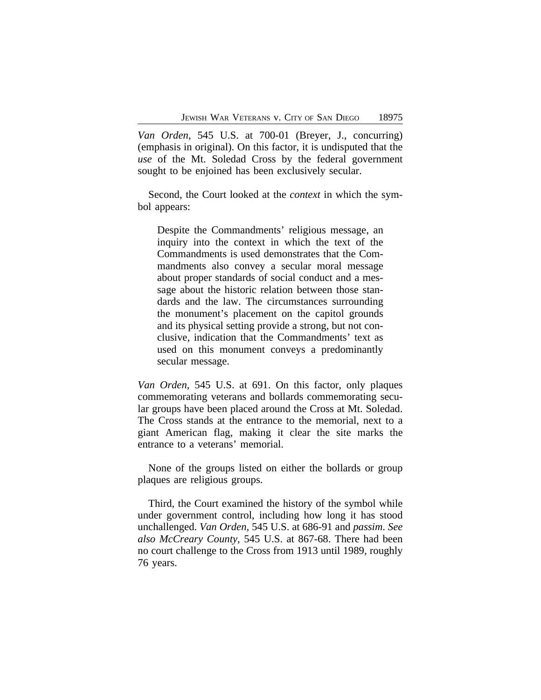*Van Orden*, 545 U.S. at 700-01 (Breyer, J., concurring) (emphasis in original). On this factor, it is undisputed that the *use* of the Mt. Soledad Cross by the federal government sought to be enjoined has been exclusively secular.

Second, the Court looked at the *context* in which the symbol appears:

Despite the Commandments' religious message, an inquiry into the context in which the text of the Commandments is used demonstrates that the Commandments also convey a secular moral message about proper standards of social conduct and a message about the historic relation between those standards and the law. The circumstances surrounding the monument's placement on the capitol grounds and its physical setting provide a strong, but not conclusive, indication that the Commandments' text as used on this monument conveys a predominantly secular message.

*Van Orden*, 545 U.S. at 691. On this factor, only plaques commemorating veterans and bollards commemorating secular groups have been placed around the Cross at Mt. Soledad. The Cross stands at the entrance to the memorial, next to a giant American flag, making it clear the site marks the entrance to a veterans' memorial.

None of the groups listed on either the bollards or group plaques are religious groups.

Third, the Court examined the history of the symbol while under government control, including how long it has stood unchallenged. *Van Orden*, 545 U.S. at 686-91 and *passim*. *See also McCreary County*, 545 U.S. at 867-68. There had been no court challenge to the Cross from 1913 until 1989, roughly 76 years.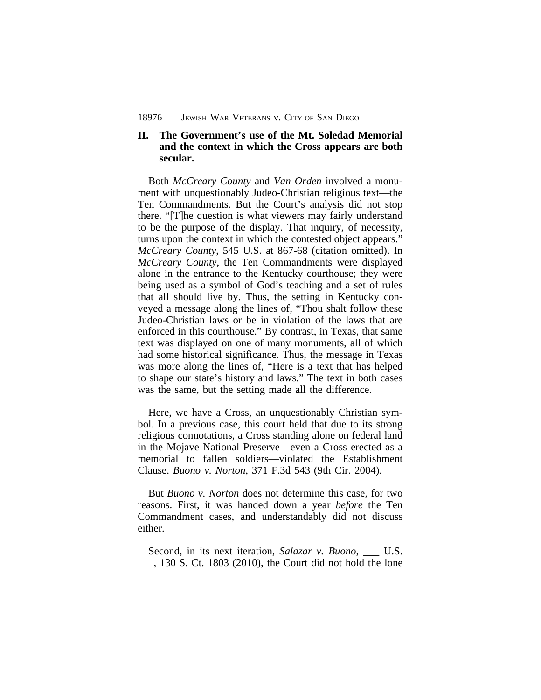## **II. The Government's use of the Mt. Soledad Memorial and the context in which the Cross appears are both secular.**

Both *McCreary County* and *Van Orden* involved a monument with unquestionably Judeo-Christian religious text—the Ten Commandments. But the Court's analysis did not stop there. "[T]he question is what viewers may fairly understand to be the purpose of the display. That inquiry, of necessity, turns upon the context in which the contested object appears." *McCreary County*, 545 U.S. at 867-68 (citation omitted). In *McCreary County*, the Ten Commandments were displayed alone in the entrance to the Kentucky courthouse; they were being used as a symbol of God's teaching and a set of rules that all should live by. Thus, the setting in Kentucky conveyed a message along the lines of, "Thou shalt follow these Judeo-Christian laws or be in violation of the laws that are enforced in this courthouse." By contrast, in Texas, that same text was displayed on one of many monuments, all of which had some historical significance. Thus, the message in Texas was more along the lines of, "Here is a text that has helped to shape our state's history and laws." The text in both cases was the same, but the setting made all the difference.

Here, we have a Cross, an unquestionably Christian symbol. In a previous case, this court held that due to its strong religious connotations, a Cross standing alone on federal land in the Mojave National Preserve—even a Cross erected as a memorial to fallen soldiers—violated the Establishment Clause. *Buono v. Norton*, 371 F.3d 543 (9th Cir. 2004).

But *Buono v. Norton* does not determine this case, for two reasons. First, it was handed down a year *before* the Ten Commandment cases, and understandably did not discuss either.

Second, in its next iteration, *Salazar v. Buono*, \_\_\_ U.S. \_\_\_, 130 S. Ct. 1803 (2010), the Court did not hold the lone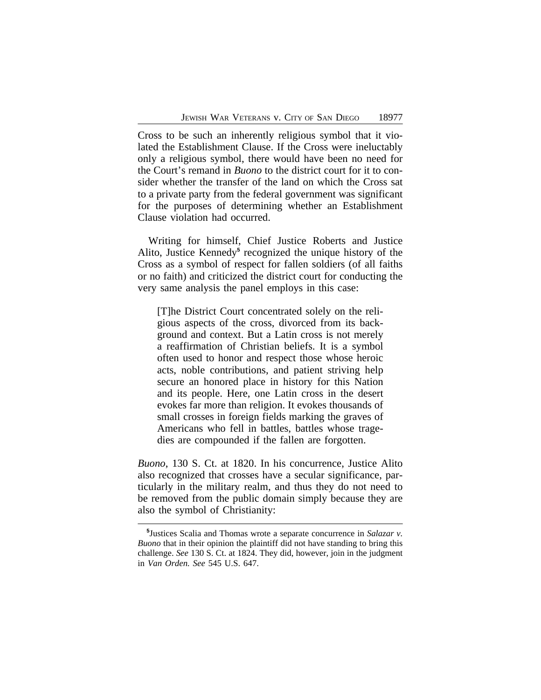Cross to be such an inherently religious symbol that it violated the Establishment Clause. If the Cross were ineluctably only a religious symbol, there would have been no need for the Court's remand in *Buono* to the district court for it to consider whether the transfer of the land on which the Cross sat to a private party from the federal government was significant for the purposes of determining whether an Establishment Clause violation had occurred.

Writing for himself, Chief Justice Roberts and Justice Alito, Justice Kennedy<sup>5</sup> recognized the unique history of the Cross as a symbol of respect for fallen soldiers (of all faiths or no faith) and criticized the district court for conducting the very same analysis the panel employs in this case:

[T]he District Court concentrated solely on the religious aspects of the cross, divorced from its background and context. But a Latin cross is not merely a reaffirmation of Christian beliefs. It is a symbol often used to honor and respect those whose heroic acts, noble contributions, and patient striving help secure an honored place in history for this Nation and its people. Here, one Latin cross in the desert evokes far more than religion. It evokes thousands of small crosses in foreign fields marking the graves of Americans who fell in battles, battles whose tragedies are compounded if the fallen are forgotten.

*Buono*, 130 S. Ct. at 1820. In his concurrence, Justice Alito also recognized that crosses have a secular significance, particularly in the military realm, and thus they do not need to be removed from the public domain simply because they are also the symbol of Christianity:

**<sup>5</sup>** Justices Scalia and Thomas wrote a separate concurrence in *Salazar v. Buono* that in their opinion the plaintiff did not have standing to bring this challenge. *See* 130 S. Ct. at 1824. They did, however, join in the judgment in *Van Orden. See* 545 U.S. 647.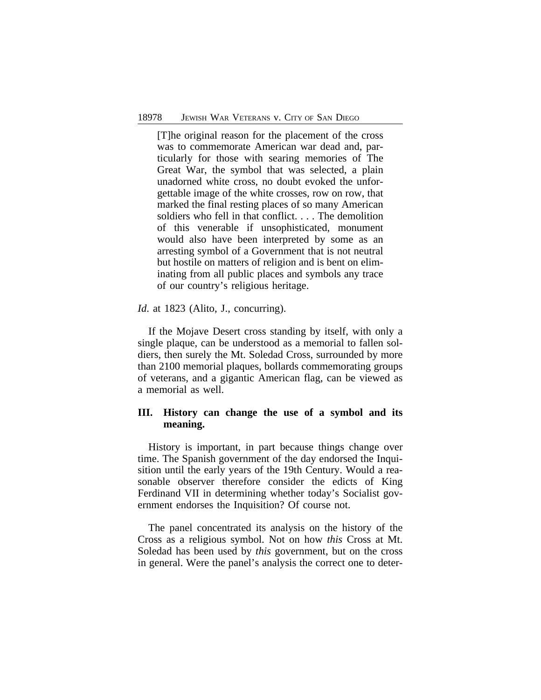[T]he original reason for the placement of the cross was to commemorate American war dead and, particularly for those with searing memories of The Great War, the symbol that was selected, a plain unadorned white cross, no doubt evoked the unforgettable image of the white crosses, row on row, that marked the final resting places of so many American soldiers who fell in that conflict. . . . The demolition of this venerable if unsophisticated, monument would also have been interpreted by some as an arresting symbol of a Government that is not neutral but hostile on matters of religion and is bent on eliminating from all public places and symbols any trace of our country's religious heritage.

#### *Id.* at 1823 (Alito, J., concurring).

If the Mojave Desert cross standing by itself, with only a single plaque, can be understood as a memorial to fallen soldiers, then surely the Mt. Soledad Cross, surrounded by more than 2100 memorial plaques, bollards commemorating groups of veterans, and a gigantic American flag, can be viewed as a memorial as well.

## **III. History can change the use of a symbol and its meaning.**

History is important, in part because things change over time. The Spanish government of the day endorsed the Inquisition until the early years of the 19th Century. Would a reasonable observer therefore consider the edicts of King Ferdinand VII in determining whether today's Socialist government endorses the Inquisition? Of course not.

The panel concentrated its analysis on the history of the Cross as a religious symbol. Not on how *this* Cross at Mt. Soledad has been used by *this* government, but on the cross in general. Were the panel's analysis the correct one to deter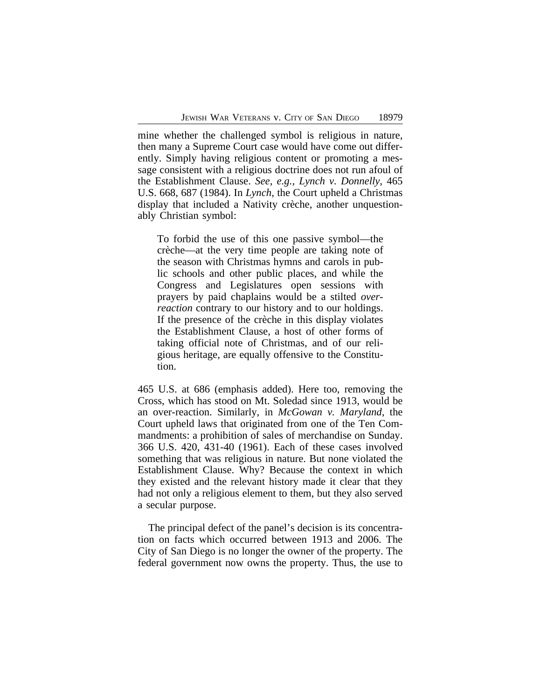mine whether the challenged symbol is religious in nature, then many a Supreme Court case would have come out differently. Simply having religious content or promoting a message consistent with a religious doctrine does not run afoul of the Establishment Clause. *See, e.g., Lynch v. Donnelly*, 465 U.S. 668, 687 (1984). In *Lynch*, the Court upheld a Christmas display that included a Nativity crèche, another unquestionably Christian symbol:

To forbid the use of this one passive symbol—the crèche—at the very time people are taking note of the season with Christmas hymns and carols in public schools and other public places, and while the Congress and Legislatures open sessions with prayers by paid chaplains would be a stilted *overreaction* contrary to our history and to our holdings. If the presence of the crèche in this display violates the Establishment Clause, a host of other forms of taking official note of Christmas, and of our religious heritage, are equally offensive to the Constitution.

465 U.S. at 686 (emphasis added). Here too, removing the Cross, which has stood on Mt. Soledad since 1913, would be an over-reaction. Similarly, in *McGowan v. Maryland*, the Court upheld laws that originated from one of the Ten Commandments: a prohibition of sales of merchandise on Sunday. 366 U.S. 420, 431-40 (1961). Each of these cases involved something that was religious in nature. But none violated the Establishment Clause. Why? Because the context in which they existed and the relevant history made it clear that they had not only a religious element to them, but they also served a secular purpose.

The principal defect of the panel's decision is its concentration on facts which occurred between 1913 and 2006. The City of San Diego is no longer the owner of the property. The federal government now owns the property. Thus, the use to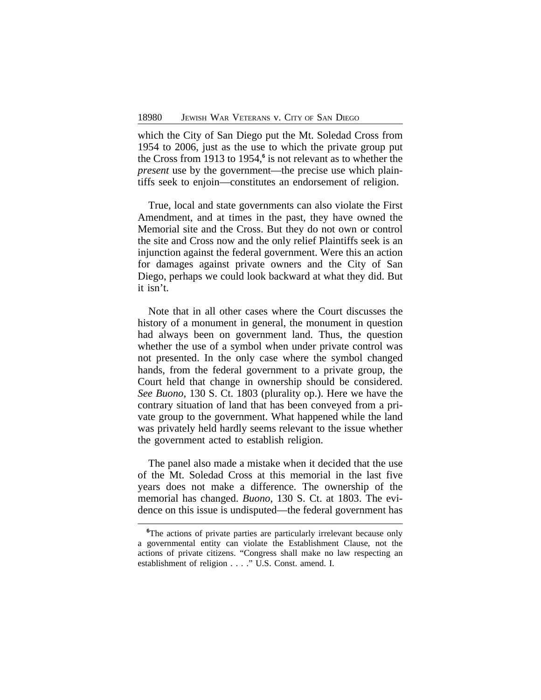which the City of San Diego put the Mt. Soledad Cross from 1954 to 2006, just as the use to which the private group put the Cross from 1913 to 1954,**<sup>6</sup>** is not relevant as to whether the *present* use by the government—the precise use which plaintiffs seek to enjoin—constitutes an endorsement of religion.

True, local and state governments can also violate the First Amendment, and at times in the past, they have owned the Memorial site and the Cross. But they do not own or control the site and Cross now and the only relief Plaintiffs seek is an injunction against the federal government. Were this an action for damages against private owners and the City of San Diego, perhaps we could look backward at what they did. But it isn't.

Note that in all other cases where the Court discusses the history of a monument in general, the monument in question had always been on government land. Thus, the question whether the use of a symbol when under private control was not presented. In the only case where the symbol changed hands, from the federal government to a private group, the Court held that change in ownership should be considered. *See Buono*, 130 S. Ct. 1803 (plurality op.). Here we have the contrary situation of land that has been conveyed from a private group to the government. What happened while the land was privately held hardly seems relevant to the issue whether the government acted to establish religion.

The panel also made a mistake when it decided that the use of the Mt. Soledad Cross at this memorial in the last five years does not make a difference. The ownership of the memorial has changed. *Buono*, 130 S. Ct. at 1803. The evidence on this issue is undisputed—the federal government has

<sup>&</sup>lt;sup>6</sup>The actions of private parties are particularly irrelevant because only a governmental entity can violate the Establishment Clause, not the actions of private citizens. "Congress shall make no law respecting an establishment of religion . . . ." U.S. Const. amend. I.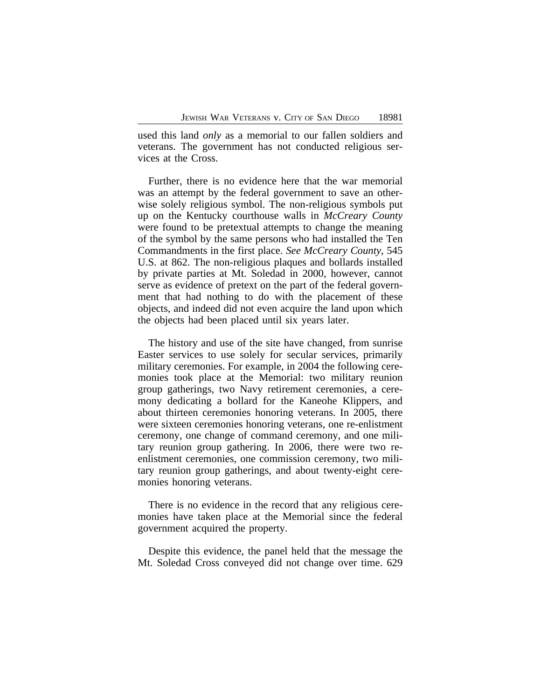used this land *only* as a memorial to our fallen soldiers and veterans. The government has not conducted religious services at the Cross.

Further, there is no evidence here that the war memorial was an attempt by the federal government to save an otherwise solely religious symbol. The non-religious symbols put up on the Kentucky courthouse walls in *McCreary County* were found to be pretextual attempts to change the meaning of the symbol by the same persons who had installed the Ten Commandments in the first place. *See McCreary County*, 545 U.S. at 862. The non-religious plaques and bollards installed by private parties at Mt. Soledad in 2000, however, cannot serve as evidence of pretext on the part of the federal government that had nothing to do with the placement of these objects, and indeed did not even acquire the land upon which the objects had been placed until six years later.

The history and use of the site have changed, from sunrise Easter services to use solely for secular services, primarily military ceremonies. For example, in 2004 the following ceremonies took place at the Memorial: two military reunion group gatherings, two Navy retirement ceremonies, a ceremony dedicating a bollard for the Kaneohe Klippers, and about thirteen ceremonies honoring veterans. In 2005, there were sixteen ceremonies honoring veterans, one re-enlistment ceremony, one change of command ceremony, and one military reunion group gathering. In 2006, there were two reenlistment ceremonies, one commission ceremony, two military reunion group gatherings, and about twenty-eight ceremonies honoring veterans.

There is no evidence in the record that any religious ceremonies have taken place at the Memorial since the federal government acquired the property.

Despite this evidence, the panel held that the message the Mt. Soledad Cross conveyed did not change over time. 629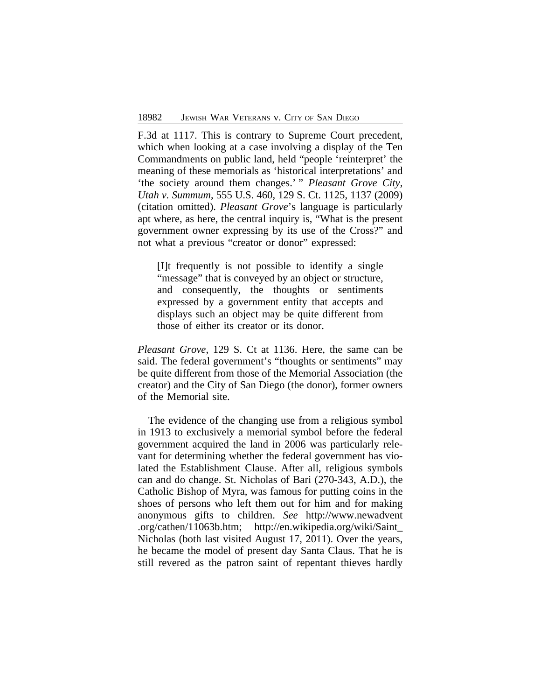F.3d at 1117. This is contrary to Supreme Court precedent, which when looking at a case involving a display of the Ten Commandments on public land, held "people 'reinterpret' the meaning of these memorials as 'historical interpretations' and 'the society around them changes.' " *Pleasant Grove City, Utah v. Summum*, 555 U.S. 460, 129 S. Ct. 1125, 1137 (2009) (citation omitted). *Pleasant Grove*'s language is particularly apt where, as here, the central inquiry is, "What is the present government owner expressing by its use of the Cross?" and not what a previous "creator or donor" expressed:

[I]t frequently is not possible to identify a single "message" that is conveyed by an object or structure, and consequently, the thoughts or sentiments expressed by a government entity that accepts and displays such an object may be quite different from those of either its creator or its donor.

*Pleasant Grove*, 129 S. Ct at 1136. Here, the same can be said. The federal government's "thoughts or sentiments" may be quite different from those of the Memorial Association (the creator) and the City of San Diego (the donor), former owners of the Memorial site.

The evidence of the changing use from a religious symbol in 1913 to exclusively a memorial symbol before the federal government acquired the land in 2006 was particularly relevant for determining whether the federal government has violated the Establishment Clause. After all, religious symbols can and do change. St. Nicholas of Bari (270-343, A.D.), the Catholic Bishop of Myra, was famous for putting coins in the shoes of persons who left them out for him and for making anonymous gifts to children. *See* http://www.newadvent .org/cathen/11063b.htm; http://en.wikipedia.org/wiki/Saint\_ Nicholas (both last visited August 17, 2011). Over the years, he became the model of present day Santa Claus. That he is still revered as the patron saint of repentant thieves hardly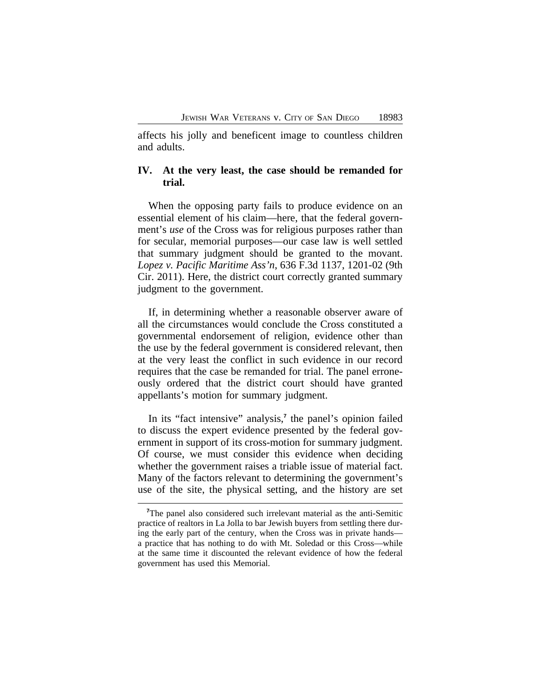affects his jolly and beneficent image to countless children and adults.

## **IV. At the very least, the case should be remanded for trial.**

When the opposing party fails to produce evidence on an essential element of his claim—here, that the federal government's *use* of the Cross was for religious purposes rather than for secular, memorial purposes—our case law is well settled that summary judgment should be granted to the movant. *Lopez v. Pacific Maritime Ass'n*, 636 F.3d 1137, 1201-02 (9th Cir. 2011). Here, the district court correctly granted summary judgment to the government.

If, in determining whether a reasonable observer aware of all the circumstances would conclude the Cross constituted a governmental endorsement of religion, evidence other than the use by the federal government is considered relevant, then at the very least the conflict in such evidence in our record requires that the case be remanded for trial. The panel erroneously ordered that the district court should have granted appellants's motion for summary judgment.

In its "fact intensive" analysis,**<sup>7</sup>** the panel's opinion failed to discuss the expert evidence presented by the federal government in support of its cross-motion for summary judgment. Of course, we must consider this evidence when deciding whether the government raises a triable issue of material fact. Many of the factors relevant to determining the government's use of the site, the physical setting, and the history are set

<sup>&</sup>lt;sup>7</sup>The panel also considered such irrelevant material as the anti-Semitic practice of realtors in La Jolla to bar Jewish buyers from settling there during the early part of the century, when the Cross was in private hands a practice that has nothing to do with Mt. Soledad or this Cross—while at the same time it discounted the relevant evidence of how the federal government has used this Memorial.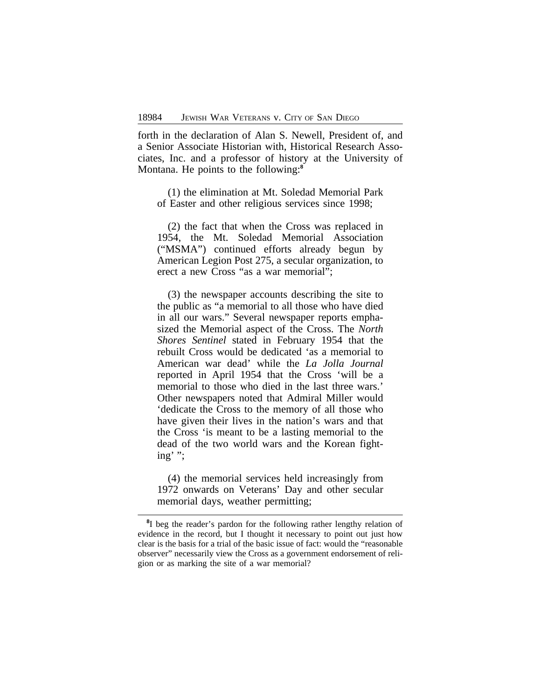forth in the declaration of Alan S. Newell, President of, and a Senior Associate Historian with, Historical Research Associates, Inc. and a professor of history at the University of Montana. He points to the following:**<sup>8</sup>**

(1) the elimination at Mt. Soledad Memorial Park of Easter and other religious services since 1998;

(2) the fact that when the Cross was replaced in 1954, the Mt. Soledad Memorial Association ("MSMA") continued efforts already begun by American Legion Post 275, a secular organization, to erect a new Cross "as a war memorial";

(3) the newspaper accounts describing the site to the public as "a memorial to all those who have died in all our wars." Several newspaper reports emphasized the Memorial aspect of the Cross. The *North Shores Sentinel* stated in February 1954 that the rebuilt Cross would be dedicated 'as a memorial to American war dead' while the *La Jolla Journal* reported in April 1954 that the Cross 'will be a memorial to those who died in the last three wars.' Other newspapers noted that Admiral Miller would 'dedicate the Cross to the memory of all those who have given their lives in the nation's wars and that the Cross 'is meant to be a lasting memorial to the dead of the two world wars and the Korean fighting' ";

(4) the memorial services held increasingly from 1972 onwards on Veterans' Day and other secular memorial days, weather permitting;

<sup>&</sup>lt;sup>8</sup>I beg the reader's pardon for the following rather lengthy relation of evidence in the record, but I thought it necessary to point out just how clear is the basis for a trial of the basic issue of fact: would the "reasonable observer" necessarily view the Cross as a government endorsement of religion or as marking the site of a war memorial?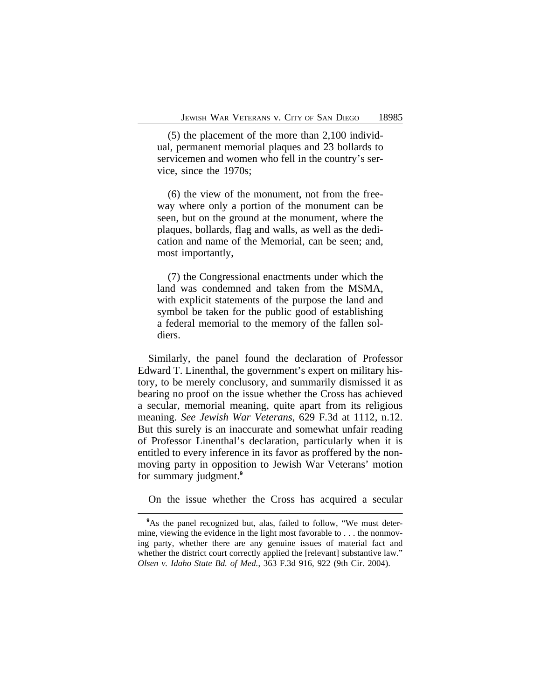(5) the placement of the more than 2,100 individual, permanent memorial plaques and 23 bollards to servicemen and women who fell in the country's service, since the 1970s;

(6) the view of the monument, not from the freeway where only a portion of the monument can be seen, but on the ground at the monument, where the plaques, bollards, flag and walls, as well as the dedication and name of the Memorial, can be seen; and, most importantly,

(7) the Congressional enactments under which the land was condemned and taken from the MSMA, with explicit statements of the purpose the land and symbol be taken for the public good of establishing a federal memorial to the memory of the fallen soldiers.

Similarly, the panel found the declaration of Professor Edward T. Linenthal, the government's expert on military history, to be merely conclusory, and summarily dismissed it as bearing no proof on the issue whether the Cross has achieved a secular, memorial meaning, quite apart from its religious meaning. *See Jewish War Veterans*, 629 F.3d at 1112, n.12. But this surely is an inaccurate and somewhat unfair reading of Professor Linenthal's declaration, particularly when it is entitled to every inference in its favor as proffered by the nonmoving party in opposition to Jewish War Veterans' motion for summary judgment.**<sup>9</sup>**

On the issue whether the Cross has acquired a secular

**<sup>9</sup>**As the panel recognized but, alas, failed to follow, "We must determine, viewing the evidence in the light most favorable to . . . the nonmoving party, whether there are any genuine issues of material fact and whether the district court correctly applied the [relevant] substantive law." *Olsen v. Idaho State Bd. of Med.*, 363 F.3d 916, 922 (9th Cir. 2004).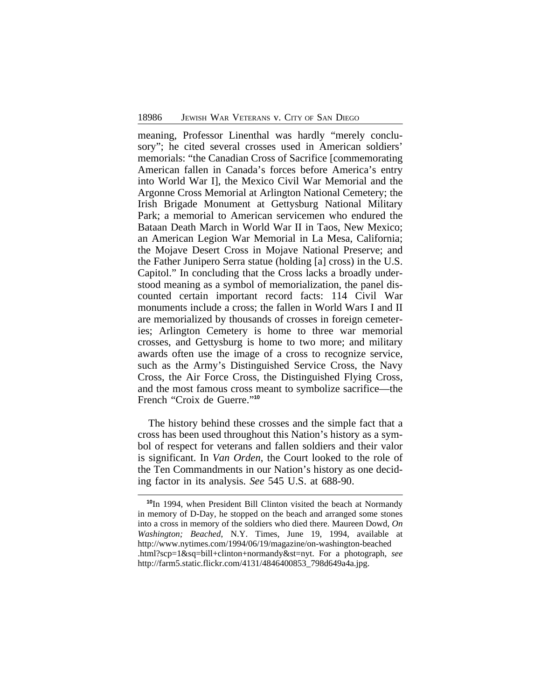meaning, Professor Linenthal was hardly "merely conclusory"; he cited several crosses used in American soldiers' memorials: "the Canadian Cross of Sacrifice [commemorating American fallen in Canada's forces before America's entry into World War I], the Mexico Civil War Memorial and the Argonne Cross Memorial at Arlington National Cemetery; the Irish Brigade Monument at Gettysburg National Military Park; a memorial to American servicemen who endured the Bataan Death March in World War II in Taos, New Mexico; an American Legion War Memorial in La Mesa, California; the Mojave Desert Cross in Mojave National Preserve; and the Father Junipero Serra statue (holding [a] cross) in the U.S. Capitol." In concluding that the Cross lacks a broadly understood meaning as a symbol of memorialization, the panel discounted certain important record facts: 114 Civil War monuments include a cross; the fallen in World Wars I and II are memorialized by thousands of crosses in foreign cemeteries; Arlington Cemetery is home to three war memorial crosses, and Gettysburg is home to two more; and military awards often use the image of a cross to recognize service, such as the Army's Distinguished Service Cross, the Navy Cross, the Air Force Cross, the Distinguished Flying Cross, and the most famous cross meant to symbolize sacrifice—the French "Croix de Guerre." **10**

The history behind these crosses and the simple fact that a cross has been used throughout this Nation's history as a symbol of respect for veterans and fallen soldiers and their valor is significant. In *Van Orden*, the Court looked to the role of the Ten Commandments in our Nation's history as one deciding factor in its analysis. *See* 545 U.S. at 688-90.

**<sup>10</sup>**In 1994, when President Bill Clinton visited the beach at Normandy in memory of D-Day, he stopped on the beach and arranged some stones into a cross in memory of the soldiers who died there. Maureen Dowd, *On Washington; Beached*, N.Y. Times, June 19, 1994, available at http://www.nytimes.com/1994/06/19/magazine/on-washington-beached .html?scp=1&sq=bill+clinton+normandy&st=nyt. For a photograph, *see* http://farm5.static.flickr.com/4131/4846400853\_798d649a4a.jpg.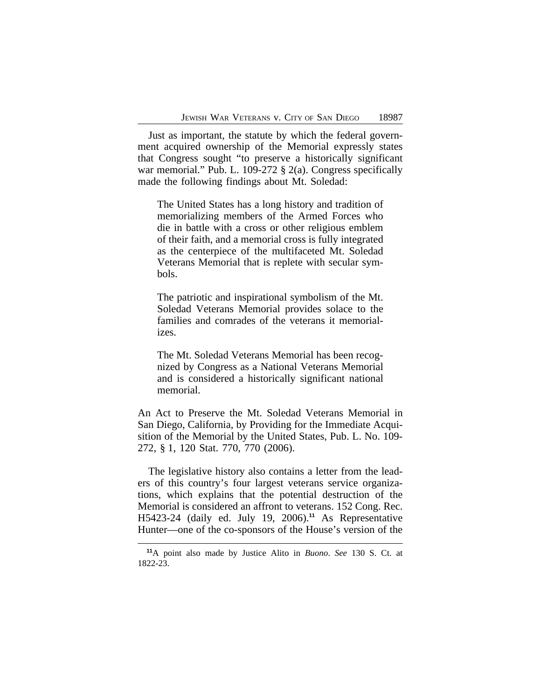Just as important, the statute by which the federal government acquired ownership of the Memorial expressly states that Congress sought "to preserve a historically significant war memorial." Pub. L. 109-272 § 2(a). Congress specifically made the following findings about Mt. Soledad:

The United States has a long history and tradition of memorializing members of the Armed Forces who die in battle with a cross or other religious emblem of their faith, and a memorial cross is fully integrated as the centerpiece of the multifaceted Mt. Soledad Veterans Memorial that is replete with secular symbols.

The patriotic and inspirational symbolism of the Mt. Soledad Veterans Memorial provides solace to the families and comrades of the veterans it memorializes.

The Mt. Soledad Veterans Memorial has been recognized by Congress as a National Veterans Memorial and is considered a historically significant national memorial.

An Act to Preserve the Mt. Soledad Veterans Memorial in San Diego, California, by Providing for the Immediate Acquisition of the Memorial by the United States, Pub. L. No. 109- 272, § 1, 120 Stat. 770, 770 (2006).

The legislative history also contains a letter from the leaders of this country's four largest veterans service organizations, which explains that the potential destruction of the Memorial is considered an affront to veterans. 152 Cong. Rec. H5423-24 (daily ed. July 19, 2006).**<sup>11</sup>** As Representative Hunter—one of the co-sponsors of the House's version of the

**<sup>11</sup>**A point also made by Justice Alito in *Buono*. *See* 130 S. Ct. at 1822-23.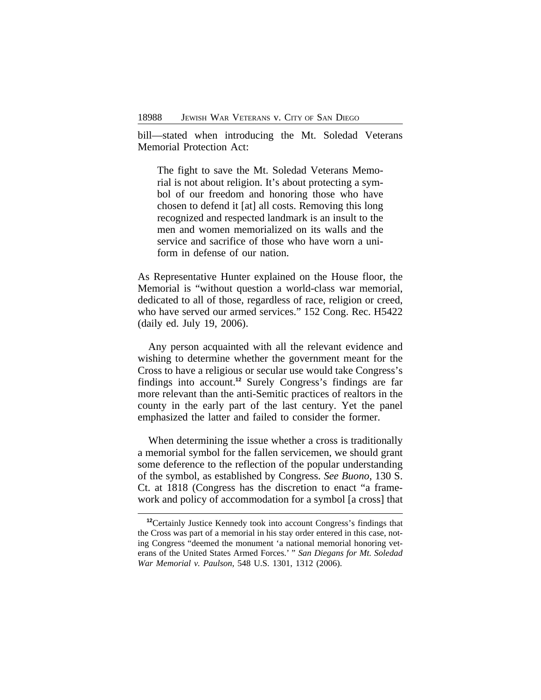bill—stated when introducing the Mt. Soledad Veterans Memorial Protection Act:

The fight to save the Mt. Soledad Veterans Memorial is not about religion. It's about protecting a symbol of our freedom and honoring those who have chosen to defend it [at] all costs. Removing this long recognized and respected landmark is an insult to the men and women memorialized on its walls and the service and sacrifice of those who have worn a uniform in defense of our nation.

As Representative Hunter explained on the House floor, the Memorial is "without question a world-class war memorial, dedicated to all of those, regardless of race, religion or creed, who have served our armed services." 152 Cong. Rec. H5422 (daily ed. July 19, 2006).

Any person acquainted with all the relevant evidence and wishing to determine whether the government meant for the Cross to have a religious or secular use would take Congress's findings into account.**<sup>12</sup>** Surely Congress's findings are far more relevant than the anti-Semitic practices of realtors in the county in the early part of the last century. Yet the panel emphasized the latter and failed to consider the former.

When determining the issue whether a cross is traditionally a memorial symbol for the fallen servicemen, we should grant some deference to the reflection of the popular understanding of the symbol, as established by Congress. *See Buono*, 130 S. Ct. at 1818 (Congress has the discretion to enact "a framework and policy of accommodation for a symbol [a cross] that

**<sup>12</sup>**Certainly Justice Kennedy took into account Congress's findings that the Cross was part of a memorial in his stay order entered in this case, noting Congress "deemed the monument 'a national memorial honoring veterans of the United States Armed Forces.' " *San Diegans for Mt. Soledad War Memorial v. Paulson*, 548 U.S. 1301, 1312 (2006).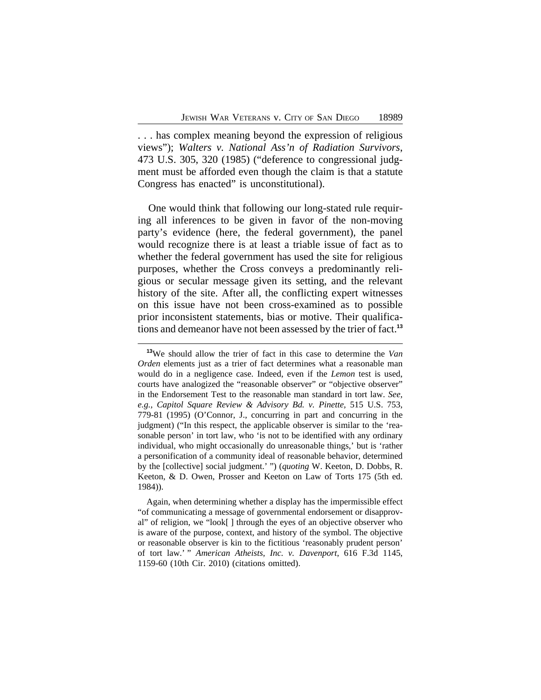. . . has complex meaning beyond the expression of religious views"); *Walters v. National Ass'n of Radiation Survivors*, 473 U.S. 305, 320 (1985) ("deference to congressional judgment must be afforded even though the claim is that a statute Congress has enacted" is unconstitutional).

One would think that following our long-stated rule requiring all inferences to be given in favor of the non-moving party's evidence (here, the federal government), the panel would recognize there is at least a triable issue of fact as to whether the federal government has used the site for religious purposes, whether the Cross conveys a predominantly religious or secular message given its setting, and the relevant history of the site. After all, the conflicting expert witnesses on this issue have not been cross-examined as to possible prior inconsistent statements, bias or motive. Their qualifications and demeanor have not been assessed by the trier of fact.**<sup>13</sup>**

**<sup>13</sup>**We should allow the trier of fact in this case to determine the *Van Orden* elements just as a trier of fact determines what a reasonable man would do in a negligence case. Indeed, even if the *Lemon* test is used, courts have analogized the "reasonable observer" or "objective observer" in the Endorsement Test to the reasonable man standard in tort law. *See, e.g., Capitol Square Review & Advisory Bd. v. Pinette,* 515 U.S. 753, 779-81 (1995) (O'Connor, J., concurring in part and concurring in the judgment) ("In this respect, the applicable observer is similar to the 'reasonable person' in tort law, who 'is not to be identified with any ordinary individual, who might occasionally do unreasonable things,' but is 'rather a personification of a community ideal of reasonable behavior, determined by the [collective] social judgment.' ") (*quoting* W. Keeton, D. Dobbs, R. Keeton, & D. Owen, Prosser and Keeton on Law of Torts 175 (5th ed. 1984)).

Again, when determining whether a display has the impermissible effect "of communicating a message of governmental endorsement or disapproval" of religion, we "look[ ] through the eyes of an objective observer who is aware of the purpose, context, and history of the symbol. The objective or reasonable observer is kin to the fictitious 'reasonably prudent person' of tort law.' " *American Atheists, Inc. v. Davenport*, 616 F.3d 1145, 1159-60 (10th Cir. 2010) (citations omitted).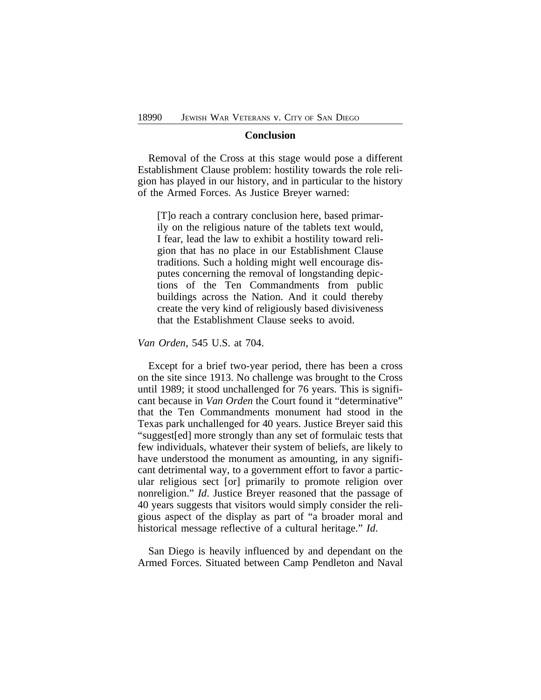#### **Conclusion**

Removal of the Cross at this stage would pose a different Establishment Clause problem: hostility towards the role religion has played in our history, and in particular to the history of the Armed Forces. As Justice Breyer warned:

[T]o reach a contrary conclusion here, based primarily on the religious nature of the tablets text would, I fear, lead the law to exhibit a hostility toward religion that has no place in our Establishment Clause traditions. Such a holding might well encourage disputes concerning the removal of longstanding depictions of the Ten Commandments from public buildings across the Nation. And it could thereby create the very kind of religiously based divisiveness that the Establishment Clause seeks to avoid.

*Van Orden*, 545 U.S. at 704.

Except for a brief two-year period, there has been a cross on the site since 1913. No challenge was brought to the Cross until 1989; it stood unchallenged for 76 years. This is significant because in *Van Orden* the Court found it "determinative" that the Ten Commandments monument had stood in the Texas park unchallenged for 40 years. Justice Breyer said this "suggest[ed] more strongly than any set of formulaic tests that few individuals, whatever their system of beliefs, are likely to have understood the monument as amounting, in any significant detrimental way, to a government effort to favor a particular religious sect [or] primarily to promote religion over nonreligion." *Id*. Justice Breyer reasoned that the passage of 40 years suggests that visitors would simply consider the religious aspect of the display as part of "a broader moral and historical message reflective of a cultural heritage." *Id*.

San Diego is heavily influenced by and dependant on the Armed Forces. Situated between Camp Pendleton and Naval